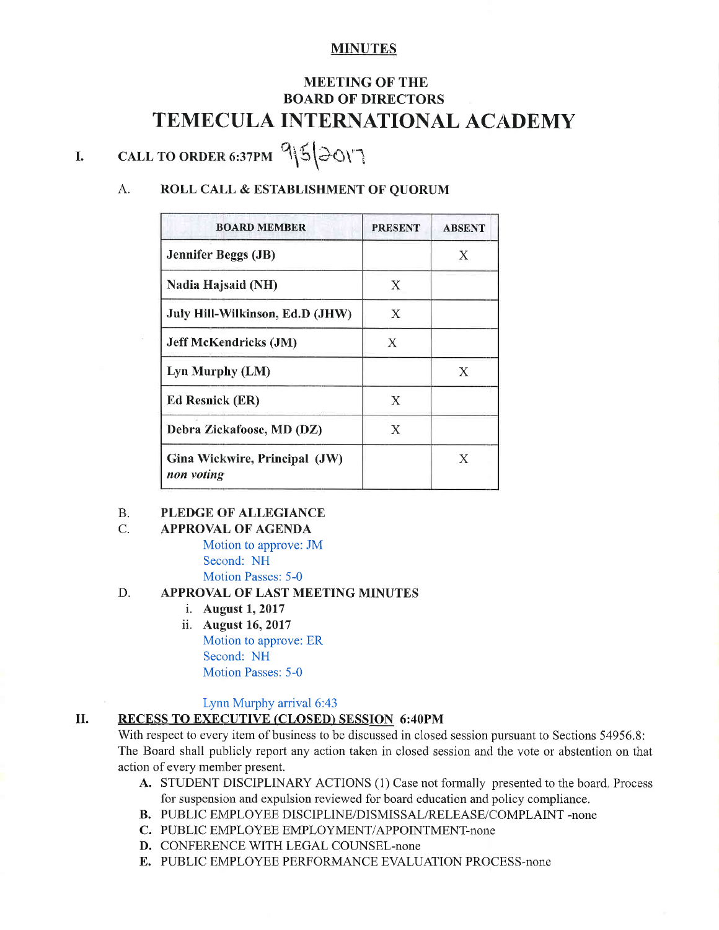# MINUTES

# MEETING OF THE BOARD OF DIRECTORS TEMECULA INTERNATIONAL ACADEMY

# I. CALL TO ORDER 6:37PM  $952017$

# A. ROLL CALL & ESTABLISHMENT OF QUORUM

| <b>BOARD MEMBER</b>                         | <b>PRESENT</b> | <b>ABSENT</b> |
|---------------------------------------------|----------------|---------------|
| <b>Jennifer Beggs (JB)</b>                  |                | X             |
| Nadia Hajsaid (NH)                          | X              |               |
| July Hill-Wilkinson, Ed.D (JHW)             | Χ              |               |
| <b>Jeff McKendricks (JM)</b>                | X              |               |
| Lyn Murphy (LM)                             |                | X             |
| <b>Ed Resnick (ER)</b>                      | X              |               |
| Debra Zickafoose, MD (DZ)                   | Х              |               |
| Gina Wickwire, Principal (JW)<br>non voting |                | X             |

#### B. PLEDGE OF ALLEGIANCE

#### C. **APPROVAL OF AGENDA**

Motion to approve: JM Second: NH Motion Passes: 5-0

#### D. APPROVAL OF LAST MEETING MINUTES

- i. August 1, 2017<br>ii. August 16, 2017
- Motion to approve: ER Second: NH Motion Passes: 5-0

### Lynn Murphy arrival 6:43

# II. RECESS TO EXECUTIVE (CLOSED) SESSION 6:40PM

With respect to every item of business to be discussed in closed session pursuant to Sections 54956.8: The Board shall publicly report any action taken in closed session and the vote or abstention on that action of every member present.

- A. STUDENT DISCIPLINARY ACTIONS (1) Case not formally presented to the board, Process for suspension and expulsion reviewed for board education and policy compliance.
- B. PUBLIC EMPLOYEE DISCIPLINE/DISMISSAL/RELEASE/COMPLAINT -none
- C. PUBLIC EMPLOYEE EMPLOYMENT/APPOINTMENT-none
- D. CONFERENCE WITH LEGAL COUNSEL-none
- E. PUBLIC EMPLOYEE PERFORMANCE EVALUATION PROCESS-none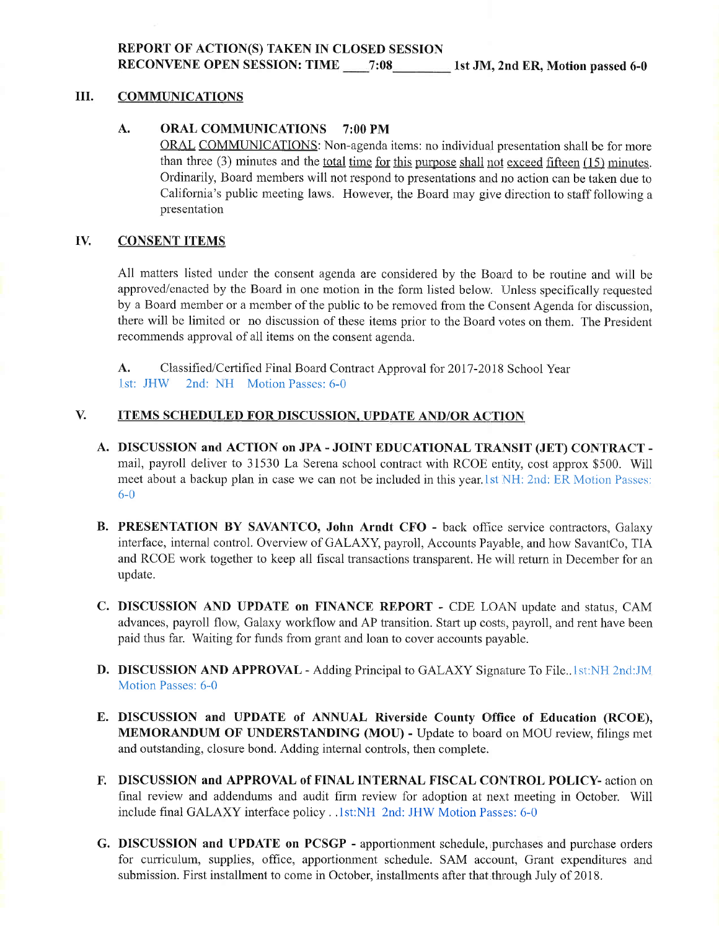REPORT OF ACTION(S) TAKEN IN CLOSED SESSTON RECONVENE OPEN SESSION: TIME 7:08 1st JM, 2nd ER, Motion passed 6-0

### III. COMMUNICATIONS

### A. ORAL COMMUNICATIONS 7:00 PM

ORAL COMMUNICATIONS: Non-agenda items: no individual presentation shall be for more than three  $(3)$  minutes and the <u>total time for this purpose shall not exceed fifteen</u>  $(15)$  minutes. Ordinarily, Board members will not respond to presentations and no action can be taken due to California's public meeting laws. However, the Board may give direction to staff following a presentation

#### IV. CONSENT ITEMS|

All matters listed under the consent agenda are considered by the Board to be routine and will be approved/enacted by the Board in one motion in the form listed below. Unless specifically requested by a Board member or a member of the public to be removed from the Consent Agenda for discussion, there will be limited or no discussion of these items prior to the Board votes on them. The President recommends approval of all items on the consent agenda.

A. Classified/Certified Final Board Contract Approval for 2017-2018 School Year <sup>I</sup>st: JHW 2nd: NH Motion Passes: 6-0

#### ITEMS SCHEDULED FOR DISCUSSION, UPDATE AND/OR ACTION V.

- A. DISCUSSION and ACTION on JPA JOINT EDUCATIONAL TRANSIT (JET) CONTRACT mail, payroll deliver to 31530 La Serena school contract with RCOE entity, cost approx \$500. Will meet about a backup plan in case we can not be included in this year. 1st NH: 2nd: ER Motion Passes: 6-0
- B. PRESENTATION BY SAVANTCO, John Arndt CFO back office service contractors, Galaxy interface, internal control. Overview of GALAXY, payroll, Accounts Payable, and how SavantCo, TIA and RCOE work together to keep all fiscal transactions transparent. He will return in December for an update.
- C. DISCUSSION AND UPDATE on FINANCE REPORT CDE LOAN update and status, CAM advances, payroll flow, Galaxy workflow and AP transition. Start up costs, payroll, and rent have been paid thus far. Waiting for funds frorn grant and loan to cover accounts payable.
- D. DISCUSSION AND APPROVAL Adding Principal to GALAXY Signature To File... 1st:NH 2nd:JM Motion Passes: 6-0
- E. DISCUSSION and UPDATE of ANNUAL Riverside County Office of Education (RCOE), MEMORANDUM OF UNDERSTANDING (MOU) - Update to board on MOU review, filings met and outstanding, closure bond. Adding internal controls, then complete.
- F. DISCUSSION and APPROVAL of FINAL INTERNAL FISCAL CONTROL POLICY- action on final review and acldendums and audit firm review for adoption at next meeting in October. Will include final GALAXY interface policy. .1st:NH 2nd: JHW Motion Passes: 6-0
- G. DISCUSSION and UPDATE on PCSGP apportionment schedule, purchases and purchase orders for curriculum, supplies, office, apportionment schedule. SAM account, Grant expenditures and submission. First installment to come in October, installments after that through July of 2018.